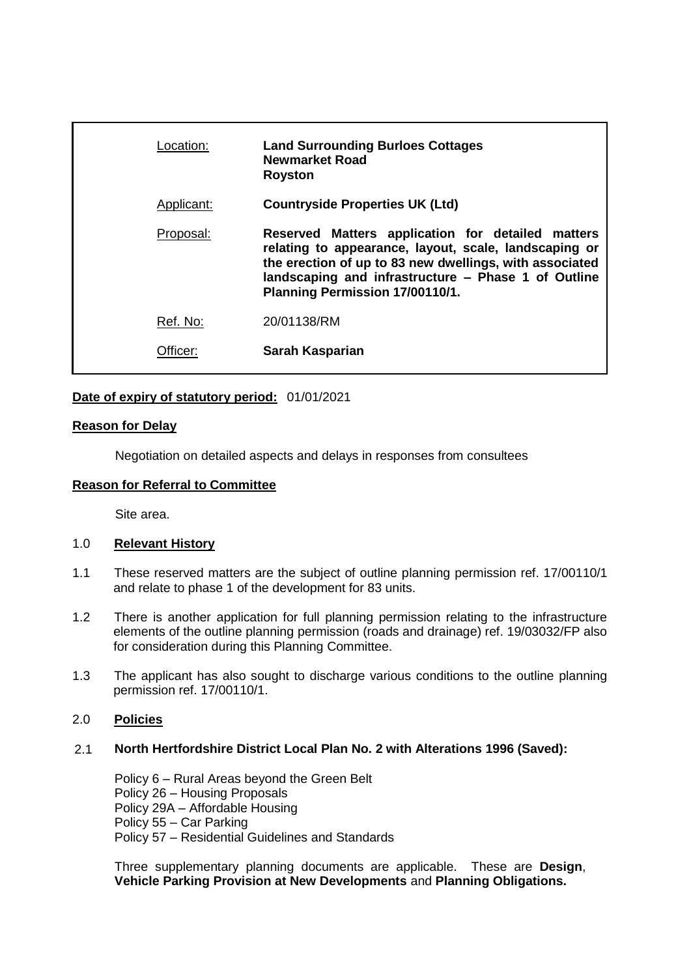| Location:  | <b>Land Surrounding Burloes Cottages</b><br><b>Newmarket Road</b><br><b>Royston</b>                                                                                                                                                                             |
|------------|-----------------------------------------------------------------------------------------------------------------------------------------------------------------------------------------------------------------------------------------------------------------|
| Applicant: | <b>Countryside Properties UK (Ltd)</b>                                                                                                                                                                                                                          |
| Proposal:  | Reserved Matters application for detailed matters<br>relating to appearance, layout, scale, landscaping or<br>the erection of up to 83 new dwellings, with associated<br>landscaping and infrastructure - Phase 1 of Outline<br>Planning Permission 17/00110/1. |
| Ref. No:   | 20/01138/RM                                                                                                                                                                                                                                                     |
| Officer:   | Sarah Kasparian                                                                                                                                                                                                                                                 |
|            |                                                                                                                                                                                                                                                                 |

## **Date of expiry of statutory period:** 01/01/2021

## **Reason for Delay**

Negotiation on detailed aspects and delays in responses from consultees

### **Reason for Referral to Committee**

Site area.

## 1.0 **Relevant History**

- 1.1 These reserved matters are the subject of outline planning permission ref. 17/00110/1 and relate to phase 1 of the development for 83 units.
- 1.2 There is another application for full planning permission relating to the infrastructure elements of the outline planning permission (roads and drainage) ref. 19/03032/FP also for consideration during this Planning Committee.
- 1.3 The applicant has also sought to discharge various conditions to the outline planning permission ref. 17/00110/1.

# 2.0 **Policies**

### 2.1 **North Hertfordshire District Local Plan No. 2 with Alterations 1996 (Saved):**

Policy 6 – Rural Areas beyond the Green Belt Policy 26 – Housing Proposals Policy 29A – Affordable Housing Policy 55 – Car Parking Policy 57 – Residential Guidelines and Standards

Three supplementary planning documents are applicable. These are **Design**, **Vehicle Parking Provision at New Developments** and **Planning Obligations.**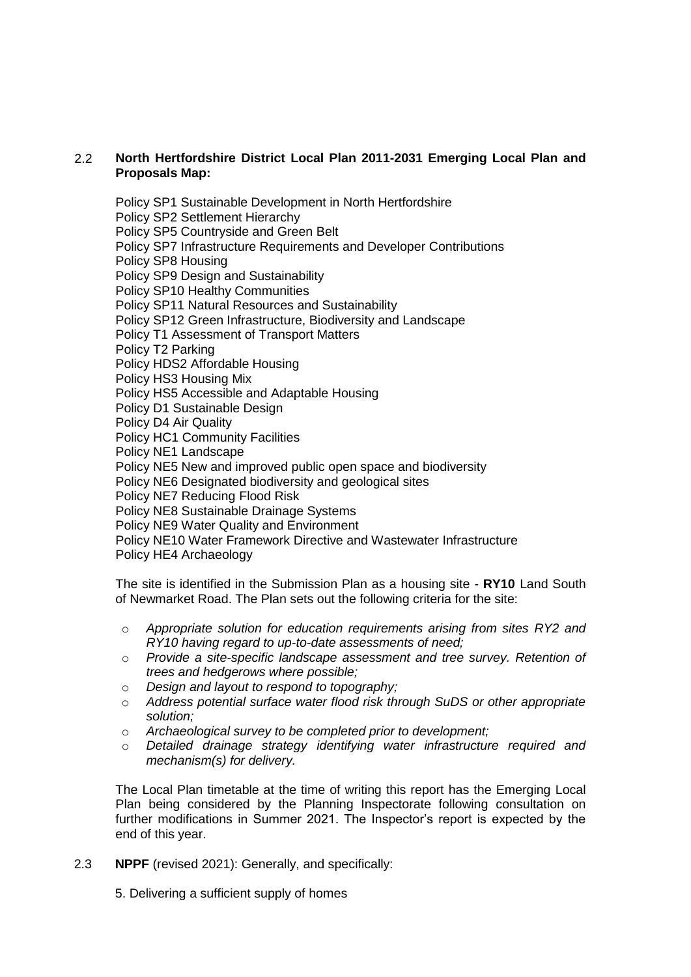## 2.2 **North Hertfordshire District Local Plan 2011-2031 Emerging Local Plan and Proposals Map:**

Policy SP1 Sustainable Development in North Hertfordshire

Policy SP2 Settlement Hierarchy

Policy SP5 Countryside and Green Belt

Policy SP7 Infrastructure Requirements and Developer Contributions

Policy SP8 Housing

Policy SP9 Design and Sustainability

Policy SP10 Healthy Communities

Policy SP11 Natural Resources and Sustainability

Policy SP12 Green Infrastructure, Biodiversity and Landscape

Policy T1 Assessment of Transport Matters

Policy T2 Parking

Policy HDS2 Affordable Housing

Policy HS3 Housing Mix

Policy HS5 Accessible and Adaptable Housing

Policy D1 Sustainable Design

Policy D4 Air Quality

Policy HC1 Community Facilities

Policy NE1 Landscape

Policy NE5 New and improved public open space and biodiversity

Policy NE6 Designated biodiversity and geological sites

Policy NE7 Reducing Flood Risk

Policy NE8 Sustainable Drainage Systems

Policy NE9 Water Quality and Environment

Policy NE10 Water Framework Directive and Wastewater Infrastructure

Policy HE4 Archaeology

The site is identified in the Submission Plan as a housing site - **RY10** Land South of Newmarket Road. The Plan sets out the following criteria for the site:

- o *Appropriate solution for education requirements arising from sites RY2 and RY10 having regard to up-to-date assessments of need;*
- o *Provide a site-specific landscape assessment and tree survey. Retention of trees and hedgerows where possible;*
- o *Design and layout to respond to topography;*
- o *Address potential surface water flood risk through SuDS or other appropriate solution;*
- o *Archaeological survey to be completed prior to development;*
- o *Detailed drainage strategy identifying water infrastructure required and mechanism(s) for delivery.*

The Local Plan timetable at the time of writing this report has the Emerging Local Plan being considered by the Planning Inspectorate following consultation on further modifications in Summer 2021. The Inspector's report is expected by the end of this year.

2.3 **NPPF** (revised 2021): Generally, and specifically:

5. Delivering a sufficient supply of homes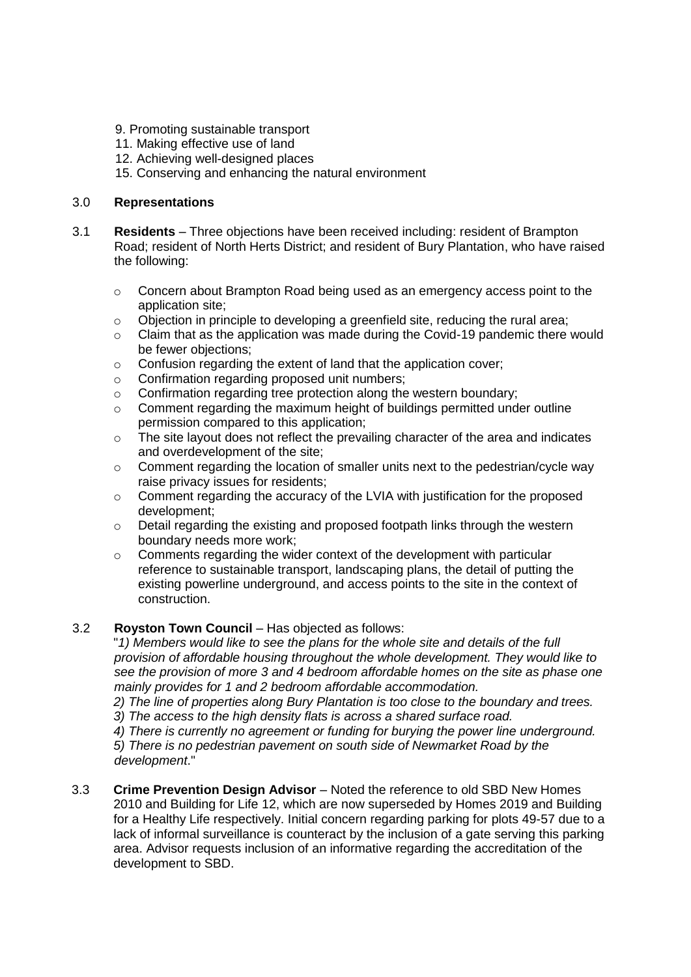- 9. Promoting sustainable transport
- 11. Making effective use of land
- 12. Achieving well-designed places
- 15. Conserving and enhancing the natural environment

## 3.0 **Representations**

- 3.1 **Residents** Three objections have been received including: resident of Brampton Road; resident of North Herts District; and resident of Bury Plantation, who have raised the following:
	- $\circ$  Concern about Brampton Road being used as an emergency access point to the application site;
	- o Objection in principle to developing a greenfield site, reducing the rural area;
	- $\circ$  Claim that as the application was made during the Covid-19 pandemic there would be fewer objections;
	- o Confusion regarding the extent of land that the application cover;
	- o Confirmation regarding proposed unit numbers;
	- o Confirmation regarding tree protection along the western boundary;
	- o Comment regarding the maximum height of buildings permitted under outline permission compared to this application;
	- o The site layout does not reflect the prevailing character of the area and indicates and overdevelopment of the site;
	- o Comment regarding the location of smaller units next to the pedestrian/cycle way raise privacy issues for residents;
	- o Comment regarding the accuracy of the LVIA with justification for the proposed development;
	- o Detail regarding the existing and proposed footpath links through the western boundary needs more work;
	- o Comments regarding the wider context of the development with particular reference to sustainable transport, landscaping plans, the detail of putting the existing powerline underground, and access points to the site in the context of construction.

### 3.2 **Royston Town Council** – Has objected as follows:

"*1) Members would like to see the plans for the whole site and details of the full provision of affordable housing throughout the whole development. They would like to see the provision of more 3 and 4 bedroom affordable homes on the site as phase one mainly provides for 1 and 2 bedroom affordable accommodation.*

*2) The line of properties along Bury Plantation is too close to the boundary and trees.*

*3) The access to the high density flats is across a shared surface road.*

*4) There is currently no agreement or funding for burying the power line underground.*

*5) There is no pedestrian pavement on south side of Newmarket Road by the development*."

3.3 **Crime Prevention Design Advisor** – Noted the reference to old SBD New Homes 2010 and Building for Life 12, which are now superseded by Homes 2019 and Building for a Healthy Life respectively. Initial concern regarding parking for plots 49-57 due to a lack of informal surveillance is counteract by the inclusion of a gate serving this parking area. Advisor requests inclusion of an informative regarding the accreditation of the development to SBD.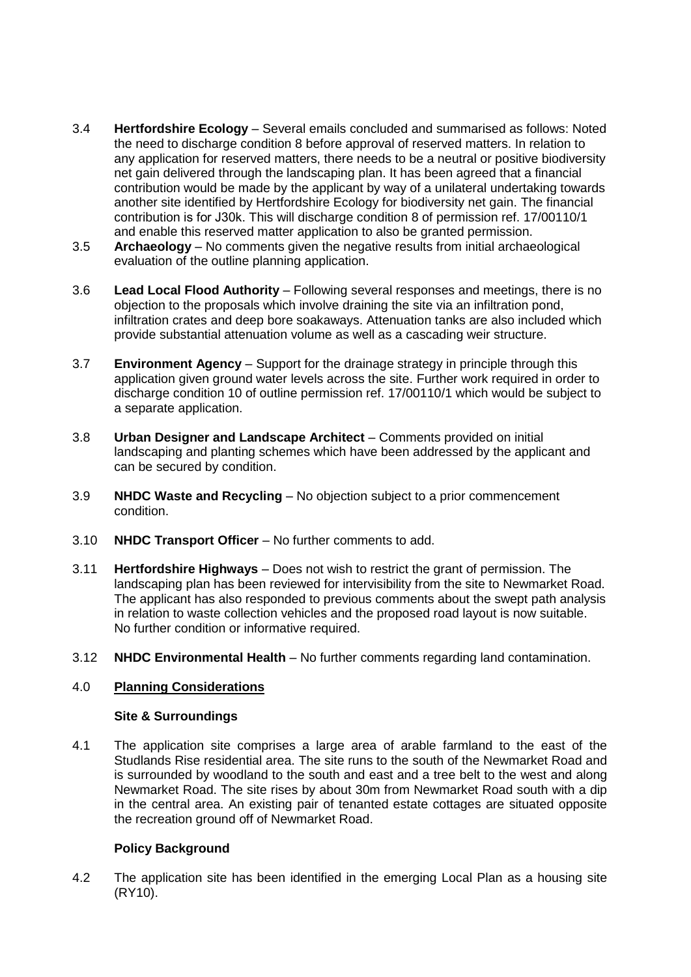- 3.4 **Hertfordshire Ecology** Several emails concluded and summarised as follows: Noted the need to discharge condition 8 before approval of reserved matters. In relation to any application for reserved matters, there needs to be a neutral or positive biodiversity net gain delivered through the landscaping plan. It has been agreed that a financial contribution would be made by the applicant by way of a unilateral undertaking towards another site identified by Hertfordshire Ecology for biodiversity net gain. The financial contribution is for Ј30k. This will discharge condition 8 of permission ref. 17/00110/1 and enable this reserved matter application to also be granted permission.
- 3.5 **Archaeology** No comments given the negative results from initial archaeological evaluation of the outline planning application.
- 3.6 **Lead Local Flood Authority** Following several responses and meetings, there is no objection to the proposals which involve draining the site via an infiltration pond, infiltration crates and deep bore soakaways. Attenuation tanks are also included which provide substantial attenuation volume as well as a cascading weir structure.
- 3.7 **Environment Agency** Support for the drainage strategy in principle through this application given ground water levels across the site. Further work required in order to discharge condition 10 of outline permission ref. 17/00110/1 which would be subject to a separate application.
- 3.8 **Urban Designer and Landscape Architect** Comments provided on initial landscaping and planting schemes which have been addressed by the applicant and can be secured by condition.
- 3.9 **NHDC Waste and Recycling** No objection subject to a prior commencement condition.
- 3.10 **NHDC Transport Officer** No further comments to add.
- 3.11 **Hertfordshire Highways** Does not wish to restrict the grant of permission. The landscaping plan has been reviewed for intervisibility from the site to Newmarket Road. The applicant has also responded to previous comments about the swept path analysis in relation to waste collection vehicles and the proposed road layout is now suitable. No further condition or informative required.
- 3.12 **NHDC Environmental Health** No further comments regarding land contamination.

## 4.0 **Planning Considerations**

### **Site & Surroundings**

4.1 The application site comprises a large area of arable farmland to the east of the Studlands Rise residential area. The site runs to the south of the Newmarket Road and is surrounded by woodland to the south and east and a tree belt to the west and along Newmarket Road. The site rises by about 30m from Newmarket Road south with a dip in the central area. An existing pair of tenanted estate cottages are situated opposite the recreation ground off of Newmarket Road.

## **Policy Background**

4.2 The application site has been identified in the emerging Local Plan as a housing site (RY10).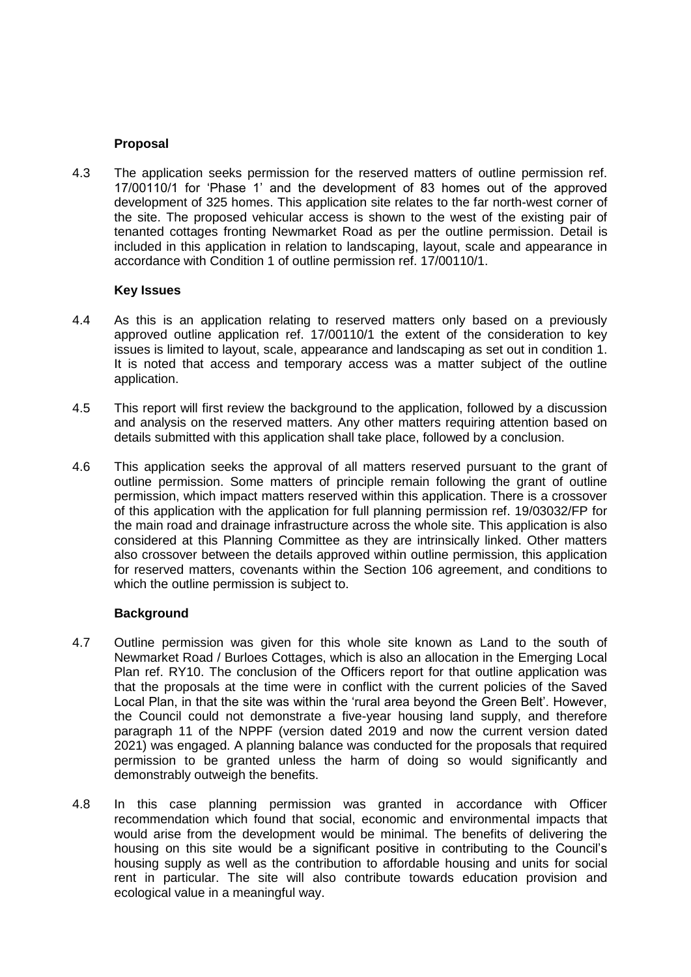## **Proposal**

4.3 The application seeks permission for the reserved matters of outline permission ref. 17/00110/1 for 'Phase 1' and the development of 83 homes out of the approved development of 325 homes. This application site relates to the far north-west corner of the site. The proposed vehicular access is shown to the west of the existing pair of tenanted cottages fronting Newmarket Road as per the outline permission. Detail is included in this application in relation to landscaping, layout, scale and appearance in accordance with Condition 1 of outline permission ref. 17/00110/1.

## **Key Issues**

- 4.4 As this is an application relating to reserved matters only based on a previously approved outline application ref. 17/00110/1 the extent of the consideration to key issues is limited to layout, scale, appearance and landscaping as set out in condition 1. It is noted that access and temporary access was a matter subject of the outline application.
- 4.5 This report will first review the background to the application, followed by a discussion and analysis on the reserved matters. Any other matters requiring attention based on details submitted with this application shall take place, followed by a conclusion.
- 4.6 This application seeks the approval of all matters reserved pursuant to the grant of outline permission. Some matters of principle remain following the grant of outline permission, which impact matters reserved within this application. There is a crossover of this application with the application for full planning permission ref. 19/03032/FP for the main road and drainage infrastructure across the whole site. This application is also considered at this Planning Committee as they are intrinsically linked. Other matters also crossover between the details approved within outline permission, this application for reserved matters, covenants within the Section 106 agreement, and conditions to which the outline permission is subject to.

## **Background**

- 4.7 Outline permission was given for this whole site known as Land to the south of Newmarket Road / Burloes Cottages, which is also an allocation in the Emerging Local Plan ref. RY10. The conclusion of the Officers report for that outline application was that the proposals at the time were in conflict with the current policies of the Saved Local Plan, in that the site was within the 'rural area beyond the Green Belt'. However, the Council could not demonstrate a five-year housing land supply, and therefore paragraph 11 of the NPPF (version dated 2019 and now the current version dated 2021) was engaged. A planning balance was conducted for the proposals that required permission to be granted unless the harm of doing so would significantly and demonstrably outweigh the benefits.
- 4.8 In this case planning permission was granted in accordance with Officer recommendation which found that social, economic and environmental impacts that would arise from the development would be minimal. The benefits of delivering the housing on this site would be a significant positive in contributing to the Council's housing supply as well as the contribution to affordable housing and units for social rent in particular. The site will also contribute towards education provision and ecological value in a meaningful way.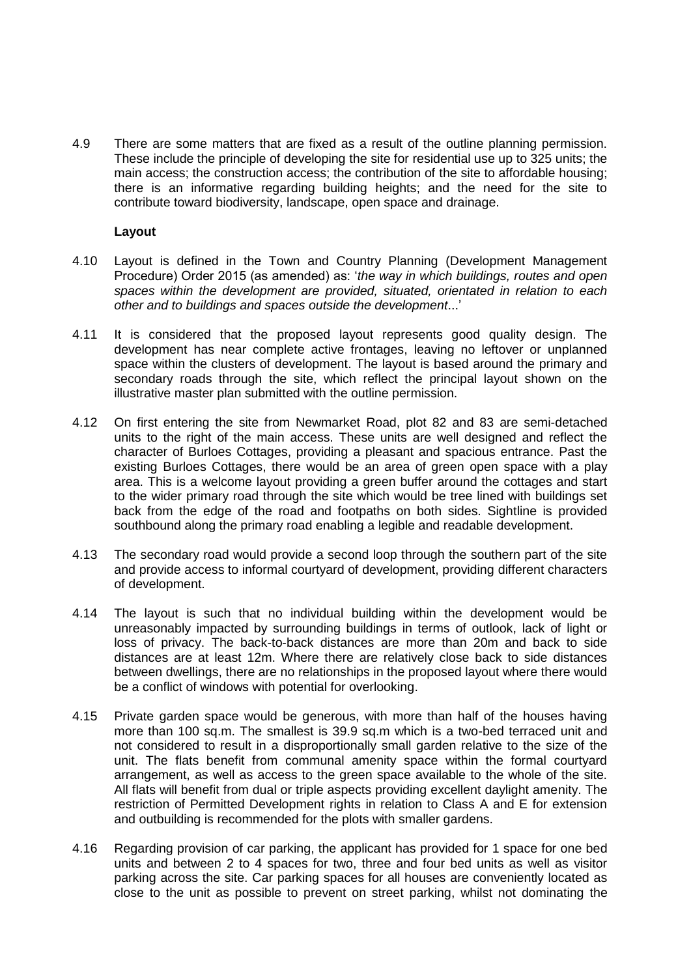4.9 There are some matters that are fixed as a result of the outline planning permission. These include the principle of developing the site for residential use up to 325 units; the main access; the construction access; the contribution of the site to affordable housing; there is an informative regarding building heights; and the need for the site to contribute toward biodiversity, landscape, open space and drainage.

### **Layout**

- 4.10 Layout is defined in the Town and Country Planning (Development Management Procedure) Order 2015 (as amended) as: '*the way in which buildings, routes and open spaces within the development are provided, situated, orientated in relation to each other and to buildings and spaces outside the development*...'
- 4.11 It is considered that the proposed layout represents good quality design. The development has near complete active frontages, leaving no leftover or unplanned space within the clusters of development. The layout is based around the primary and secondary roads through the site, which reflect the principal layout shown on the illustrative master plan submitted with the outline permission.
- 4.12 On first entering the site from Newmarket Road, plot 82 and 83 are semi-detached units to the right of the main access. These units are well designed and reflect the character of Burloes Cottages, providing a pleasant and spacious entrance. Past the existing Burloes Cottages, there would be an area of green open space with a play area. This is a welcome layout providing a green buffer around the cottages and start to the wider primary road through the site which would be tree lined with buildings set back from the edge of the road and footpaths on both sides. Sightline is provided southbound along the primary road enabling a legible and readable development.
- 4.13 The secondary road would provide a second loop through the southern part of the site and provide access to informal courtyard of development, providing different characters of development.
- 4.14 The layout is such that no individual building within the development would be unreasonably impacted by surrounding buildings in terms of outlook, lack of light or loss of privacy. The back-to-back distances are more than 20m and back to side distances are at least 12m. Where there are relatively close back to side distances between dwellings, there are no relationships in the proposed layout where there would be a conflict of windows with potential for overlooking.
- 4.15 Private garden space would be generous, with more than half of the houses having more than 100 sq.m. The smallest is 39.9 sq.m which is a two-bed terraced unit and not considered to result in a disproportionally small garden relative to the size of the unit. The flats benefit from communal amenity space within the formal courtyard arrangement, as well as access to the green space available to the whole of the site. All flats will benefit from dual or triple aspects providing excellent daylight amenity. The restriction of Permitted Development rights in relation to Class A and E for extension and outbuilding is recommended for the plots with smaller gardens.
- 4.16 Regarding provision of car parking, the applicant has provided for 1 space for one bed units and between 2 to 4 spaces for two, three and four bed units as well as visitor parking across the site. Car parking spaces for all houses are conveniently located as close to the unit as possible to prevent on street parking, whilst not dominating the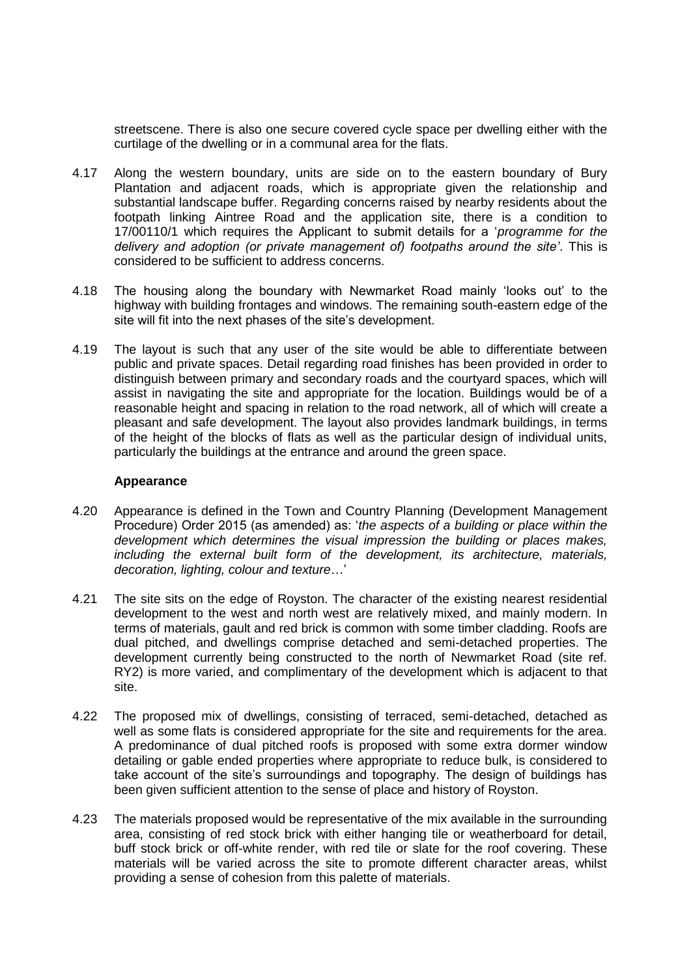streetscene. There is also one secure covered cycle space per dwelling either with the curtilage of the dwelling or in a communal area for the flats.

- 4.17 Along the western boundary, units are side on to the eastern boundary of Bury Plantation and adjacent roads, which is appropriate given the relationship and substantial landscape buffer. Regarding concerns raised by nearby residents about the footpath linking Aintree Road and the application site, there is a condition to 17/00110/1 which requires the Applicant to submit details for a '*programme for the delivery and adoption (or private management of) footpaths around the site'*. This is considered to be sufficient to address concerns.
- 4.18 The housing along the boundary with Newmarket Road mainly 'looks out' to the highway with building frontages and windows. The remaining south-eastern edge of the site will fit into the next phases of the site's development.
- 4.19 The layout is such that any user of the site would be able to differentiate between public and private spaces. Detail regarding road finishes has been provided in order to distinguish between primary and secondary roads and the courtyard spaces, which will assist in navigating the site and appropriate for the location. Buildings would be of a reasonable height and spacing in relation to the road network, all of which will create a pleasant and safe development. The layout also provides landmark buildings, in terms of the height of the blocks of flats as well as the particular design of individual units, particularly the buildings at the entrance and around the green space.

### **Appearance**

- 4.20 Appearance is defined in the Town and Country Planning (Development Management Procedure) Order 2015 (as amended) as: '*the aspects of a building or place within the development which determines the visual impression the building or places makes, including the external built form of the development, its architecture, materials, decoration, lighting, colour and texture*…'
- 4.21 The site sits on the edge of Royston. The character of the existing nearest residential development to the west and north west are relatively mixed, and mainly modern. In terms of materials, gault and red brick is common with some timber cladding. Roofs are dual pitched, and dwellings comprise detached and semi-detached properties. The development currently being constructed to the north of Newmarket Road (site ref. RY2) is more varied, and complimentary of the development which is adjacent to that site.
- 4.22 The proposed mix of dwellings, consisting of terraced, semi-detached, detached as well as some flats is considered appropriate for the site and requirements for the area. A predominance of dual pitched roofs is proposed with some extra dormer window detailing or gable ended properties where appropriate to reduce bulk, is considered to take account of the site's surroundings and topography. The design of buildings has been given sufficient attention to the sense of place and history of Royston.
- 4.23 The materials proposed would be representative of the mix available in the surrounding area, consisting of red stock brick with either hanging tile or weatherboard for detail, buff stock brick or off-white render, with red tile or slate for the roof covering. These materials will be varied across the site to promote different character areas, whilst providing a sense of cohesion from this palette of materials.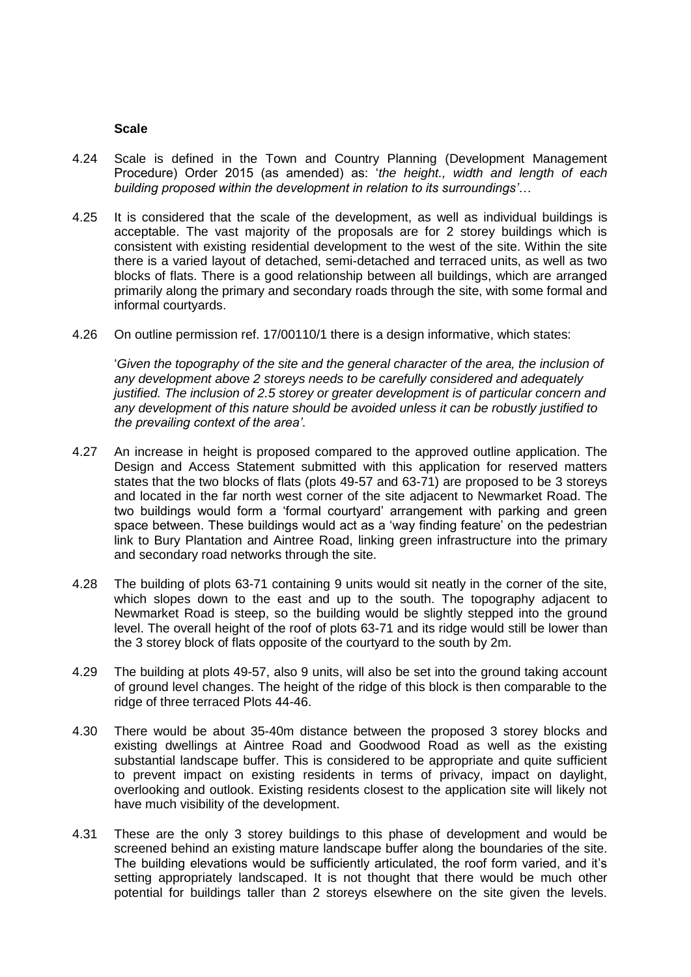#### **Scale**

- 4.24 Scale is defined in the Town and Country Planning (Development Management Procedure) Order 2015 (as amended) as: '*the height., width and length of each building proposed within the development in relation to its surroundings'*…
- 4.25 It is considered that the scale of the development, as well as individual buildings is acceptable. The vast majority of the proposals are for 2 storey buildings which is consistent with existing residential development to the west of the site. Within the site there is a varied layout of detached, semi-detached and terraced units, as well as two blocks of flats. There is a good relationship between all buildings, which are arranged primarily along the primary and secondary roads through the site, with some formal and informal courtyards.
- 4.26 On outline permission ref. 17/00110/1 there is a design informative, which states:

*'Given the topography of the site and the general character of the area, the inclusion of any development above 2 storeys needs to be carefully considered and adequately justified. The inclusion of 2.5 storey or greater development is of particular concern and any development of this nature should be avoided unless it can be robustly justified to the prevailing context of the area'*.

- 4.27 An increase in height is proposed compared to the approved outline application. The Design and Access Statement submitted with this application for reserved matters states that the two blocks of flats (plots 49-57 and 63-71) are proposed to be 3 storeys and located in the far north west corner of the site adjacent to Newmarket Road. The two buildings would form a 'formal courtyard' arrangement with parking and green space between. These buildings would act as a 'way finding feature' on the pedestrian link to Bury Plantation and Aintree Road, linking green infrastructure into the primary and secondary road networks through the site.
- 4.28 The building of plots 63-71 containing 9 units would sit neatly in the corner of the site, which slopes down to the east and up to the south. The topography adjacent to Newmarket Road is steep, so the building would be slightly stepped into the ground level. The overall height of the roof of plots 63-71 and its ridge would still be lower than the 3 storey block of flats opposite of the courtyard to the south by 2m.
- 4.29 The building at plots 49-57, also 9 units, will also be set into the ground taking account of ground level changes. The height of the ridge of this block is then comparable to the ridge of three terraced Plots 44-46.
- 4.30 There would be about 35-40m distance between the proposed 3 storey blocks and existing dwellings at Aintree Road and Goodwood Road as well as the existing substantial landscape buffer. This is considered to be appropriate and quite sufficient to prevent impact on existing residents in terms of privacy, impact on daylight, overlooking and outlook. Existing residents closest to the application site will likely not have much visibility of the development.
- 4.31 These are the only 3 storey buildings to this phase of development and would be screened behind an existing mature landscape buffer along the boundaries of the site. The building elevations would be sufficiently articulated, the roof form varied, and it's setting appropriately landscaped. It is not thought that there would be much other potential for buildings taller than 2 storeys elsewhere on the site given the levels.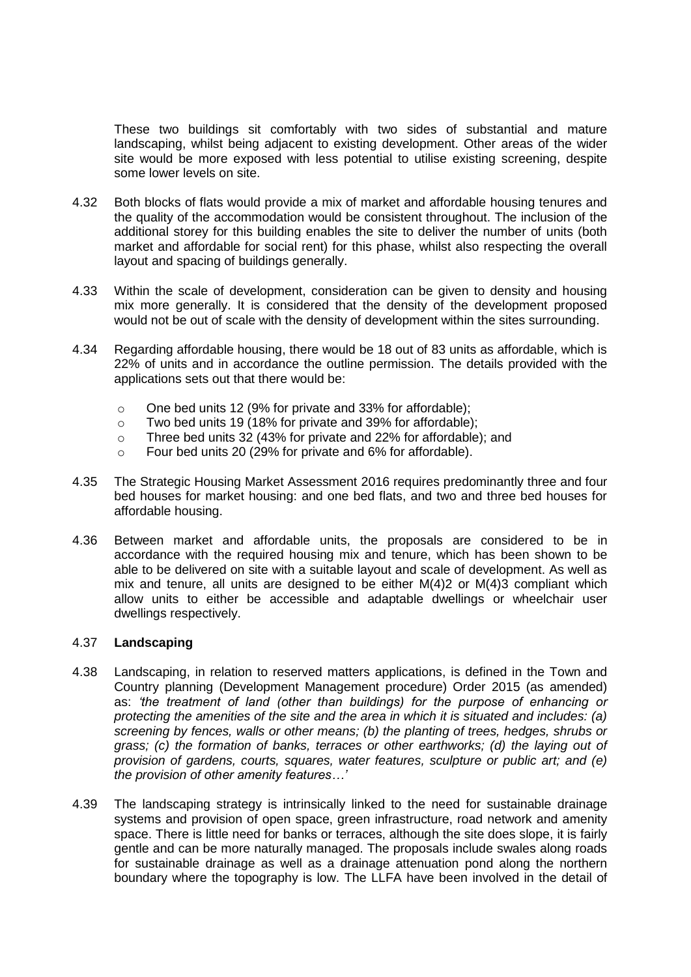These two buildings sit comfortably with two sides of substantial and mature landscaping, whilst being adjacent to existing development. Other areas of the wider site would be more exposed with less potential to utilise existing screening, despite some lower levels on site.

- 4.32 Both blocks of flats would provide a mix of market and affordable housing tenures and the quality of the accommodation would be consistent throughout. The inclusion of the additional storey for this building enables the site to deliver the number of units (both market and affordable for social rent) for this phase, whilst also respecting the overall layout and spacing of buildings generally.
- 4.33 Within the scale of development, consideration can be given to density and housing mix more generally. It is considered that the density of the development proposed would not be out of scale with the density of development within the sites surrounding.
- 4.34 Regarding affordable housing, there would be 18 out of 83 units as affordable, which is 22% of units and in accordance the outline permission. The details provided with the applications sets out that there would be:
	- o One bed units 12 (9% for private and 33% for affordable);
	- o Two bed units 19 (18% for private and 39% for affordable);
	- o Three bed units 32 (43% for private and 22% for affordable); and
	- o Four bed units 20 (29% for private and 6% for affordable).
- 4.35 The Strategic Housing Market Assessment 2016 requires predominantly three and four bed houses for market housing: and one bed flats, and two and three bed houses for affordable housing.
- 4.36 Between market and affordable units, the proposals are considered to be in accordance with the required housing mix and tenure, which has been shown to be able to be delivered on site with a suitable layout and scale of development. As well as mix and tenure, all units are designed to be either M(4)2 or M(4)3 compliant which allow units to either be accessible and adaptable dwellings or wheelchair user dwellings respectively.

### 4.37 **Landscaping**

- 4.38 Landscaping, in relation to reserved matters applications, is defined in the Town and Country planning (Development Management procedure) Order 2015 (as amended) as: *'the treatment of land (other than buildings) for the purpose of enhancing or protecting the amenities of the site and the area in which it is situated and includes: (a) screening by fences, walls or other means; (b) the planting of trees, hedges, shrubs or grass; (c) the formation of banks, terraces or other earthworks; (d) the laying out of provision of gardens, courts, squares, water features, sculpture or public art; and (e) the provision of other amenity features…'*
- 4.39 The landscaping strategy is intrinsically linked to the need for sustainable drainage systems and provision of open space, green infrastructure, road network and amenity space. There is little need for banks or terraces, although the site does slope, it is fairly gentle and can be more naturally managed. The proposals include swales along roads for sustainable drainage as well as a drainage attenuation pond along the northern boundary where the topography is low. The LLFA have been involved in the detail of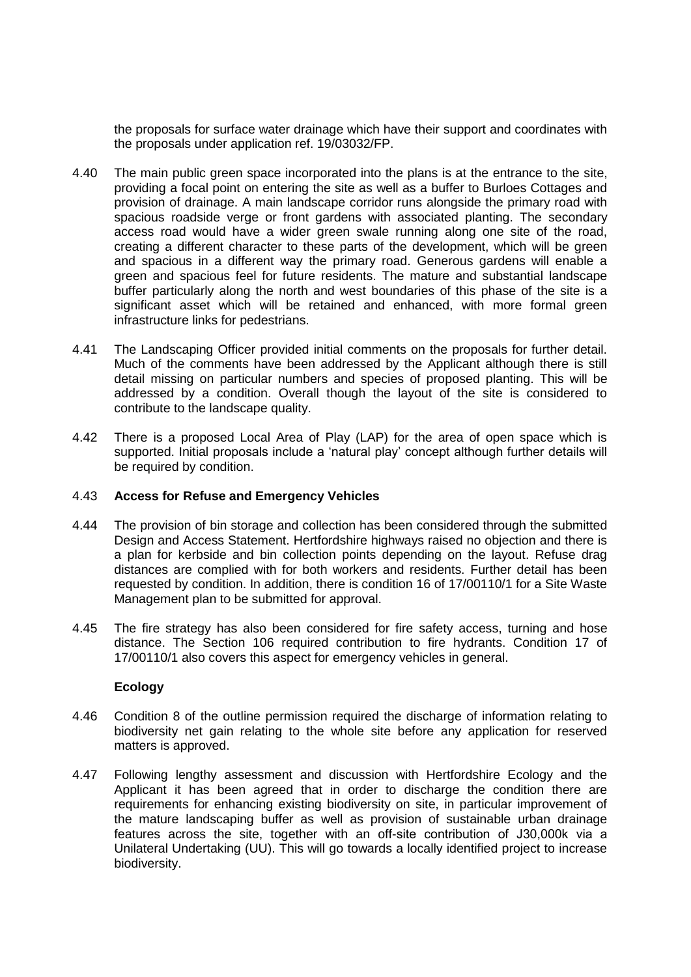the proposals for surface water drainage which have their support and coordinates with the proposals under application ref. 19/03032/FP.

- 4.40 The main public green space incorporated into the plans is at the entrance to the site, providing a focal point on entering the site as well as a buffer to Burloes Cottages and provision of drainage. A main landscape corridor runs alongside the primary road with spacious roadside verge or front gardens with associated planting. The secondary access road would have a wider green swale running along one site of the road, creating a different character to these parts of the development, which will be green and spacious in a different way the primary road. Generous gardens will enable a green and spacious feel for future residents. The mature and substantial landscape buffer particularly along the north and west boundaries of this phase of the site is a significant asset which will be retained and enhanced, with more formal green infrastructure links for pedestrians.
- 4.41 The Landscaping Officer provided initial comments on the proposals for further detail. Much of the comments have been addressed by the Applicant although there is still detail missing on particular numbers and species of proposed planting. This will be addressed by a condition. Overall though the layout of the site is considered to contribute to the landscape quality.
- 4.42 There is a proposed Local Area of Play (LAP) for the area of open space which is supported. Initial proposals include a 'natural play' concept although further details will be required by condition.

### 4.43 **Access for Refuse and Emergency Vehicles**

- 4.44 The provision of bin storage and collection has been considered through the submitted Design and Access Statement. Hertfordshire highways raised no objection and there is a plan for kerbside and bin collection points depending on the layout. Refuse drag distances are complied with for both workers and residents. Further detail has been requested by condition. In addition, there is condition 16 of 17/00110/1 for a Site Waste Management plan to be submitted for approval.
- 4.45 The fire strategy has also been considered for fire safety access, turning and hose distance. The Section 106 required contribution to fire hydrants. Condition 17 of 17/00110/1 also covers this aspect for emergency vehicles in general.

### **Ecology**

- 4.46 Condition 8 of the outline permission required the discharge of information relating to biodiversity net gain relating to the whole site before any application for reserved matters is approved.
- 4.47 Following lengthy assessment and discussion with Hertfordshire Ecology and the Applicant it has been agreed that in order to discharge the condition there are requirements for enhancing existing biodiversity on site, in particular improvement of the mature landscaping buffer as well as provision of sustainable urban drainage features across the site, together with an off-site contribution of Ј30,000k via a Unilateral Undertaking (UU). This will go towards a locally identified project to increase biodiversity.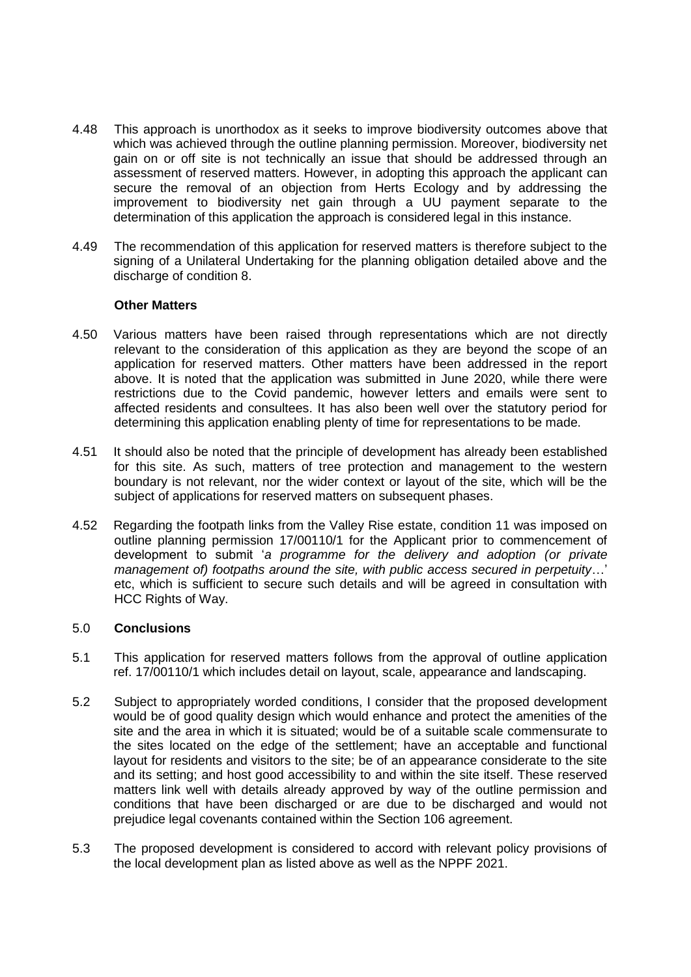- 4.48 This approach is unorthodox as it seeks to improve biodiversity outcomes above that which was achieved through the outline planning permission. Moreover, biodiversity net gain on or off site is not technically an issue that should be addressed through an assessment of reserved matters. However, in adopting this approach the applicant can secure the removal of an objection from Herts Ecology and by addressing the improvement to biodiversity net gain through a UU payment separate to the determination of this application the approach is considered legal in this instance.
- 4.49 The recommendation of this application for reserved matters is therefore subject to the signing of a Unilateral Undertaking for the planning obligation detailed above and the discharge of condition 8.

### **Other Matters**

- 4.50 Various matters have been raised through representations which are not directly relevant to the consideration of this application as they are beyond the scope of an application for reserved matters. Other matters have been addressed in the report above. It is noted that the application was submitted in June 2020, while there were restrictions due to the Covid pandemic, however letters and emails were sent to affected residents and consultees. It has also been well over the statutory period for determining this application enabling plenty of time for representations to be made.
- 4.51 It should also be noted that the principle of development has already been established for this site. As such, matters of tree protection and management to the western boundary is not relevant, nor the wider context or layout of the site, which will be the subject of applications for reserved matters on subsequent phases.
- 4.52 Regarding the footpath links from the Valley Rise estate, condition 11 was imposed on outline planning permission 17/00110/1 for the Applicant prior to commencement of development to submit '*a programme for the delivery and adoption (or private management of) footpaths around the site, with public access secured in perpetuity*…' etc, which is sufficient to secure such details and will be agreed in consultation with HCC Rights of Way.

### 5.0 **Conclusions**

- 5.1 This application for reserved matters follows from the approval of outline application ref. 17/00110/1 which includes detail on layout, scale, appearance and landscaping.
- 5.2 Subject to appropriately worded conditions, I consider that the proposed development would be of good quality design which would enhance and protect the amenities of the site and the area in which it is situated; would be of a suitable scale commensurate to the sites located on the edge of the settlement; have an acceptable and functional layout for residents and visitors to the site; be of an appearance considerate to the site and its setting; and host good accessibility to and within the site itself. These reserved matters link well with details already approved by way of the outline permission and conditions that have been discharged or are due to be discharged and would not prejudice legal covenants contained within the Section 106 agreement.
- 5.3 The proposed development is considered to accord with relevant policy provisions of the local development plan as listed above as well as the NPPF 2021.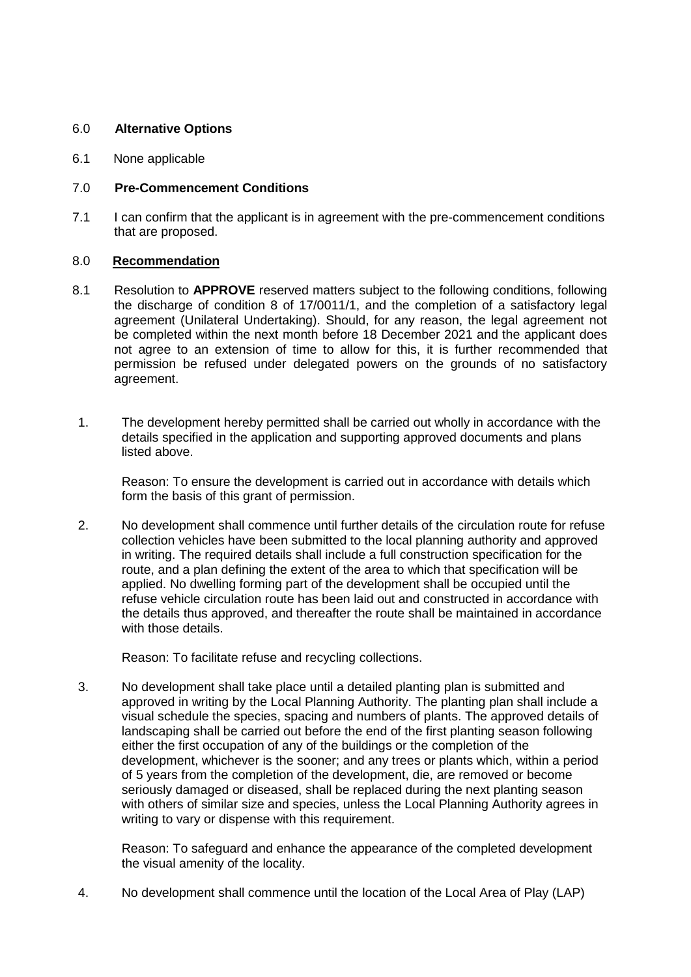## 6.0 **Alternative Options**

6.1 None applicable

## 7.0 **Pre-Commencement Conditions**

7.1 I can confirm that the applicant is in agreement with the pre-commencement conditions that are proposed.

## 8.0 **Recommendation**

- 8.1 Resolution to **APPROVE** reserved matters subject to the following conditions, following the discharge of condition 8 of 17/0011/1, and the completion of a satisfactory legal agreement (Unilateral Undertaking). Should, for any reason, the legal agreement not be completed within the next month before 18 December 2021 and the applicant does not agree to an extension of time to allow for this, it is further recommended that permission be refused under delegated powers on the grounds of no satisfactory agreement.
- 1. The development hereby permitted shall be carried out wholly in accordance with the details specified in the application and supporting approved documents and plans listed above.

Reason: To ensure the development is carried out in accordance with details which form the basis of this grant of permission.

2. No development shall commence until further details of the circulation route for refuse collection vehicles have been submitted to the local planning authority and approved in writing. The required details shall include a full construction specification for the route, and a plan defining the extent of the area to which that specification will be applied. No dwelling forming part of the development shall be occupied until the refuse vehicle circulation route has been laid out and constructed in accordance with the details thus approved, and thereafter the route shall be maintained in accordance with those details.

Reason: To facilitate refuse and recycling collections.

3. No development shall take place until a detailed planting plan is submitted and approved in writing by the Local Planning Authority. The planting plan shall include a visual schedule the species, spacing and numbers of plants. The approved details of landscaping shall be carried out before the end of the first planting season following either the first occupation of any of the buildings or the completion of the development, whichever is the sooner; and any trees or plants which, within a period of 5 years from the completion of the development, die, are removed or become seriously damaged or diseased, shall be replaced during the next planting season with others of similar size and species, unless the Local Planning Authority agrees in writing to vary or dispense with this requirement.

Reason: To safeguard and enhance the appearance of the completed development the visual amenity of the locality.

4. No development shall commence until the location of the Local Area of Play (LAP)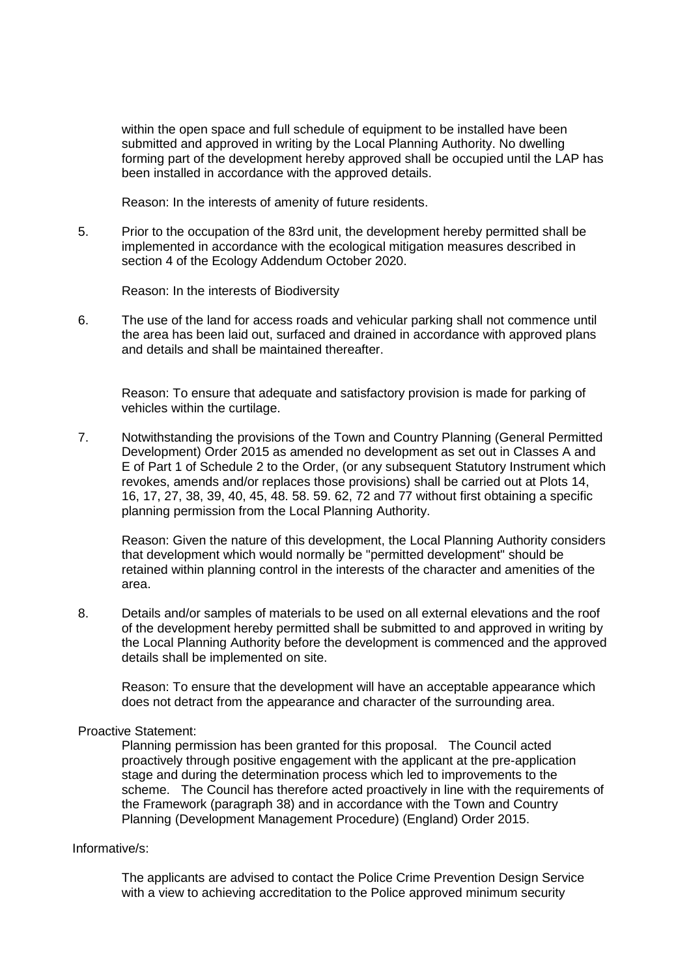within the open space and full schedule of equipment to be installed have been submitted and approved in writing by the Local Planning Authority. No dwelling forming part of the development hereby approved shall be occupied until the LAP has been installed in accordance with the approved details.

Reason: In the interests of amenity of future residents.

5. Prior to the occupation of the 83rd unit, the development hereby permitted shall be implemented in accordance with the ecological mitigation measures described in section 4 of the Ecology Addendum October 2020.

Reason: In the interests of Biodiversity

6. The use of the land for access roads and vehicular parking shall not commence until the area has been laid out, surfaced and drained in accordance with approved plans and details and shall be maintained thereafter.

Reason: To ensure that adequate and satisfactory provision is made for parking of vehicles within the curtilage.

7. Notwithstanding the provisions of the Town and Country Planning (General Permitted Development) Order 2015 as amended no development as set out in Classes A and E of Part 1 of Schedule 2 to the Order, (or any subsequent Statutory Instrument which revokes, amends and/or replaces those provisions) shall be carried out at Plots 14, 16, 17, 27, 38, 39, 40, 45, 48. 58. 59. 62, 72 and 77 without first obtaining a specific planning permission from the Local Planning Authority.

Reason: Given the nature of this development, the Local Planning Authority considers that development which would normally be "permitted development" should be retained within planning control in the interests of the character and amenities of the area.

8. Details and/or samples of materials to be used on all external elevations and the roof of the development hereby permitted shall be submitted to and approved in writing by the Local Planning Authority before the development is commenced and the approved details shall be implemented on site.

Reason: To ensure that the development will have an acceptable appearance which does not detract from the appearance and character of the surrounding area.

### Proactive Statement:

Planning permission has been granted for this proposal. The Council acted proactively through positive engagement with the applicant at the pre-application stage and during the determination process which led to improvements to the scheme. The Council has therefore acted proactively in line with the requirements of the Framework (paragraph 38) and in accordance with the Town and Country Planning (Development Management Procedure) (England) Order 2015.

### Informative/s:

The applicants are advised to contact the Police Crime Prevention Design Service with a view to achieving accreditation to the Police approved minimum security